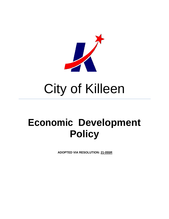

# City of Killeen

## **Economic Development Policy**

**ADOPTED VIA RESOLUTION: 21-055R**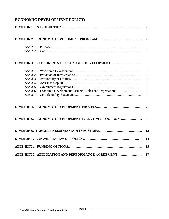|                                                     | $\overline{2}$                                            |
|-----------------------------------------------------|-----------------------------------------------------------|
|                                                     |                                                           |
|                                                     | 3<br>$\overline{4}$<br>5<br>5<br>5<br>5<br>$\overline{7}$ |
|                                                     |                                                           |
| DIVISION 5. ECONOMIC DEVELOPMENT INCENTIVES TOOLBOX | 8                                                         |
|                                                     | 12                                                        |
|                                                     | 14                                                        |
|                                                     | 15                                                        |
| APPENDIX 2. APPLICATION AND PERFORMANCE AGREEMENT   | 17                                                        |

#### **ECONOMIC DEVELOPMENT POLICY:**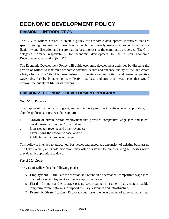### **ECONOMIC DEVELOPMENT POLICY**

#### **DIVISION 1. INTRODUCTION**

The City of Killeen desires to create a policy for economic development incentives that are specific enough to establish clear boundaries, but not overly restrictive, so as to allow for flexibility and discretion and ensure that the best interests of the community are served. The City delegates primary responsibility for economic development to the Killeen Economic Development Corporation (KEDC).

The Economic Development Policy will guide economic development activities by directing the growth of Killeen to maximize economic potential, secure and enhance quality of life, and create a bright future. The City of Killeen desires to stimulate economic activity and create competitive wage jobs, thereby broadening its collective tax base and attracting investments that would improve the quality of life for its citizens.

#### **DIVISION 2. ECONOMIC DEVELOPMENT PROGRAM**

#### *Sec. 2-10. Purpose*

The purpose of this policy is to grant, and vest authority to offer incentives, when appropriate, to eligible applicants or projects that support:

- 1. Growth of private sector employment that provides competitive wage jobs and talent development, within the City of Killeen;
- 2. Increased tax revenue and other revenues;
- 3. Diversifying the economic base; and/or
- 4. Public infrastructure development.

This policy is intended to attract new businesses and encourage expansion of existing businesses. The City Council, at its sole discretion, may offer assistance to retain existing businesses when they deem it appropriate to do so.

#### *Sec. 2-20. Goals*

The City of Killeen has the following goals:

- A. **Employment** Stimulate the creation and retention of permanent competitive wage jobs that reduce unemployment and underemployment rates;
- B. **Fiscal** Promote and encourage private sector capital investment that generates stable long-term revenue streams to support the City's services and infrastructure;
- C. **Economic Diversification** Encourage and foster the development of targeted industries;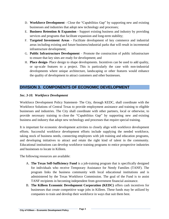- D. **Workforce Development** Close the "Capabilities Gap" by supporting new and existing businesses and industries that adopt new technology and processes;
- E. **Business Retention & Expansion** Support existing business and industry by providing services and programs that facilitate expansion and long-term stability;
- F. **Targeted Investment Areas** Facilitate development of key commerce and industrial areas including existing and future business/industrial parks that will result in incremental infrastructure development;
- G. **Public Infrastructure Development** Promote the construction of public infrastructure to ensure that key sites are ready for development; and
- H. **Place design-** Place design to shape developments. Incentives can be used to add quality, or up-scale features to a project. This is particularly the case with non-industrial developments where unique architecture, landscaping or other features would enhance the quality of development to attract customers and other businesses.

#### **DIVISION 3. COMPONENTS OF ECONOMIC DEVELOPMENT**

#### *Sec. 3-10. Workforce Development*

Workforce Development Policy Statement- The City, through KEDC, shall coordinate with the Workforce Solutions of Central Texas to provide employment assistance and training to eligible businesses and industries. The City shall coordinate with other partners, local or otherwise, to provide necessary training to close the "Capabilities Gap" by supporting new and existing business and industry that adopt new technology and processes that require special training.

It is important for economic development activities to closely align with workforce development efforts. Successful workforce development efforts include supplying the needed workforce, taking stock of business needs, connecting employees with job training and education programs, and developing initiatives to attract and retain the right kind of talent in the community. Educational institutions can develop workforce training programs to entice prospective industries and businesses to locate in Killeen.

The following resources are available:

- A. **The Texas Self-Sufficiency Fund** is a job-training program that is specifically designed for individuals who receive Temporary Assistance for Needy Families (TANF). The program links the business community with local educational institutions and is administered by the Texas Workforce Commission. The goal of the Fund is to assist TANF recipients in becoming independent from government financial assistance.
- B. **The Killeen Economic Development Corporation (KEDC)** offers cash incentives for businesses that create competitive wage jobs in Killeen. These funds may be utilized by companies to train and develop their workforce in ways that suit them best.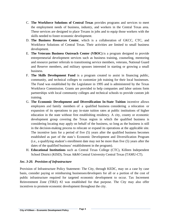- C. **The Workforce Solutions of Central Texas** provides programs and services to meet the employment needs of business, industry, and workers in the Central Texas area. These services are designed to place Texans in jobs and to equip those workers with the skills needed to foster economic development.
- D. **The Business Resources Center**, which is a collaboration of GKCC, CTC, and Workforce Solutions of Central Texas. Their activities are limited to small business development.
- E. **The Veterans Business Outreach Center (VBOC)** is a program designed to provide entrepreneurial development services such as business training, counseling, mentoring and resource partner referrals to transitioning service members, veterans, National Guard and Reserve members, and military spouses interested in starting or growing a small business.
- F. **The Skills [Development](http://www.twc.state.tx.us/partners/skills-development-fund) Fund** is a program created to assist in financing public, community, and technical colleges to customize job training for their local businesses. The Fund was established by the Legislature in 1995 and is administered by the Texas Workforce Commission. Grants are provided to help companies and labor unions form partnerships with local community colleges and technical schools to provide custom job training.
- G. **The Economic Development and Diversification In-State Tuition** incentive allows employees and family members of a qualified business considering a relocation or expansion of its operations to pay in-state tuition rates at public institutions of higher education in the state without first establishing residency. A city, county or economic development group covering the Texas region in which the qualified business is considering locating may apply on behalf of the business, so long as the business is still in the decision-making process to relocate or expand its operations at the applicable site. The incentive lasts for a period of five (5) years after the qualified business becomes established as part of the state's Economic Development and Diversification Program (i.e., a qualifying student's enrollment date may not be more than five (5) years after the dates of the qualified business' establishment in the program).
- H. **Educational Institutions** such as Central Texas College (CTC), Killeen Independent School District (KISD), Texas A&M Central University Central Texas (TAMU-CT).

#### *Sec. 3-20. Provision of Infrastructure*

Provision of Infrastructure Policy Statement- The City, through KEDC, may on a case by case basis, consider paying or reimbursing businesses/developers for all or a portion of the cost of public infrastructure required for targeted economic development to occur. Tax Increment Reinvestment Zone (TIRZ) #2 was established for that purpose. The City may also offer incentives to promote economic development throughout the city.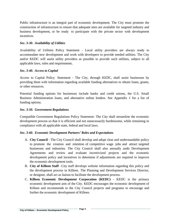Public infrastructure is an integral part of economic development. The City must promote the construction of infrastructure to ensure that adequate sites are available for targeted industry and business development, or be ready to participate with the private sector with development incentives.

#### *Sec. 3-30. Availability of Utilities*

Availability of Utilities Policy Statement - Local utility providers are always ready to accommodate new development and work with developers to provide needed utilities. The City and/or KEDC will assist utility providers as possible to provide such utilities, subject to all applicable laws, rules and requirements.

#### *Sec. 3-40. Access to Capital*

Access to Capital Policy Statement - The City, through KEDC, shall assist businesses by providing them with information regarding available funding alternatives to obtain loans, grants, or other resources.

Potential funding options for businesses include banks and credit unions, the U.S. Small Business Administration loans, and alternative online lenders. See Appendix 1 for a list of funding options.

#### *Sec. 3-50. Government Regulations*

Compatible Government Regulations Policy Statement- The City shall streamline the economic development process so that it is efficient and not unnecessarily burdensome, while remaining in compliance with all applicable state, federal and local laws.

#### *Sec. 3-60. Economic Development Partners' Roles and Expectations*

- A. **City Council** The City Council shall develop and adopt clear and understandable policy to promote the creation and retention of competitive wage jobs and attract targeted businesses and industries. The City Council shall also annually audit Development Agreements and review and evaluate incentivized projects and the economic development policy and incentives to determine if adjustments are required to improve the economic development tools.
- B. **City of Killeen Staff** –City staff develops website information regarding this policy and the development process in Killeen. The Planning and Development Services Director, or designee, shall act as liaison to facilitate the development process.
- C. **Killeen Economic Development Corporation (KEDC)** KEDC is the primary economic development arm of the City. KEDC encourages the economic development of Killeen and recommends to the City Council projects and programs to encourage and further the economic development of Killeen.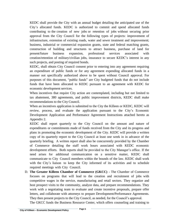KEDC shall provide the City with an annual budget detailing the anticipated use of the City's allocated funds. KEDC is authorized to commit and spend allocated funds contributing to the creation of new jobs or retention of jobs without securing prior approval from the City Council for the following types of projects: improvement of infrastructure, extension of existing roads, water and sewer treatment and improvement; business, industrial or commercial expansion grants, state and federal matching grants, construction of building and structures to attract business, purchase of land for present/future business expansion, professional services associated with creation/retention of military/civilian jobs, insurance to secure KEDC's interest in any such projects, and posting of required bonds.

KEDC, shall obtain City Council consent prior to entering into any agreement requiring an expenditure of public funds or for any agreement expending allocated funds in a manner not specifically authorized above to be spent without Council approval. For purposes of this document, "public funds" are City budgeted funds that do not include funds that have been allocated to KEDC pursuant to an agreement with KEDC for economic development services.

When incentives that require City action are contemplated, including but not limited to tax abatement, 380 agreements, and public improvement districts, KEDC shall make recommendations to the City Council.

When an incentives application is submitted to the City the Killeen or KEDC, KEDC will review, process, and evaluate the application pursuant to the City's Economic Development Application and Performance Agreement Instructions attached hereto as Appendix 2.

KEDC shall report quarterly to the City Council on the amount and nature of expenditures or commitments made of funds received from the City and its progress and plans in promoting the economic development of the City. KEDC will provide a written copy of its quarterly report to the City Council at least one week in in advance of the quarterly briefing. A written report shall also be concurrently provided by the Chamber of Commerce detailing the staff work hours associated with KEDC economic development efforts. Both reports shall be provided to the City Manager's office. If the need arises for additional communication on a sensitive matter, KEDC shall communicate to City Council members within the bounds of the law. KEDC shall work with the City's liaison to keep the City informed of its activities and to schedule required meetings with City Council.

D. **The Greater Killeen Chamber of Commerce (GKCC)** - The Chamber of Commerce focuses on programs that will lead to the creation and recruitment of jobs with competitive wages in the service, manufacturing and retail sectors. They organize and host prospect visits to the community, analyze data, and prepare recommendations. They work with a negotiating team to evaluate and create incentive proposals, prepare offer letters, and collaborate with attorneys to prepare Development/Performance Agreements. They then present projects to the City Council, as needed, for the Council's approval. The GKCC funds the Business Resource Center, which offers counseling and training to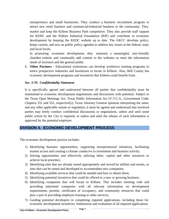entrepreneurs and small businesses. They conduct a business recruitment program to attract new retail business and commercial/industrial business to the community. They market and keep the Killeen Business Park competitive. They also provide staff support for KEDC and the Killeen Industrial Foundation (KIF) and contribute to economic development by keeping the KEDC website up to date. The GKCC develops policy, keeps current, and acts on public policy agendas to address key issues at the federal, state, and local levels.

In promoting economic development, they maintain a meaningful, user-friendly chamber website and continually add content to the websites to meet the information needs of investors and the general public.

E. **Other Partners** - Educational institutions can develop workforce training programs to entice prospective industries and businesses to locate in Killeen. Also, Bell County has economic development programs and incentives that Killeen could benefit from.

#### *Sec. 3-70. Confidentiality Statement*

It is specifically agreed and understood between all parties that confidentiality must be maintained in economic development negotiations and discussions with potential. Subject to the Texas Open Meetings Act, Texas Public Information Act (V.T.C.A., Government Code, Chapters 551 and 552, respectively), Texas Attorney General opinions interpreting the same, and any other applicable statute or regulation, it must be agreed and understood that involved parties may freely conduct confidential discussions or negotiations, unless and until some public action by the City is required, or unless and until the release of such information is approved by the potential employer.

#### **DIVISION 4. ECONOMIC DEVELOPMENT PROCESS**

The economic development process includes:

- 1) Identifying business opportunities, supporting entrepreneurial initiatives, facilitating market access and creating a climate conducive to investment and business activity;
- 2) Seizing opportunities and effectively utilizing labor, capital and other resources to achieve local priorities;
- 3) Identifying sites that are already zoned appropriately and served by utilities and streets, or sites that can be zoned and developed to accommodate new companies;
- 4) Identifying available services that could be needed and how to obtain them;
- 5) Identifying potential incentives that could be offered to a new or growing business;
- 6) Identifying companies that will locate in Killeen. This includes meeting with and providing interested companies with all relevant information on development requirements, permits, certificates of occupancy, and community resources that could play a part in providing employee training or other services;
- 7) Guiding potential developers in completing required applications, including those for economic development incentives; Submission and evaluation of all required applications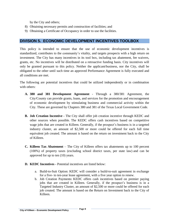by the City and others;

- 8) Obtaining necessary permits and construction of facilities; and
- 9) Obtaining a Certificate of Occupancy in order to use the facilities.

#### **DIVISION 5. ECONOMIC DEVELOPMENT INCENTIVES TOOLBOX**

This policy is intended to ensure that the use of economic development incentives is standardized, contributes to the community's vitality, and targets prospects with a high return on investment. The City has many incentives in its tool box, including tax abatement, fee waivers, grants, etc. No incentives will be distributed on a retroactive funding basis. City incentives will only be granted pursuant to this policy. Neither the applicant/business, nor the City, shall be obligated to the other until such time an approved Performance Agreement is fully executed and all conditions are met.

The following are potential incentives that could be utilized independently or in combination with others:

- **A. 380 and 381 Development Agreement** Through a 380/381 Agreement, the City/County can provide grants, loans, and services for the promotion and encouragement of economic development by stimulating business and commercial activity within the City. These are governed by Chapters 380 and 381 of the Texas Local Government Code.
- **B. Job Creation Incentive -** The City shall offer job creation incentive through KEDC and other sources when possible. The KEDC offers cash incentives based on competitive wage jobs that are created in Killeen. Generally, if the prospect's business is in a targeted industry cluster, an amount of \$2,500 or more could be offered for each full time equivalent job created. The amount is based on the return on investment back to the City of Killeen.
- **C. Killeen Tax Abatement** The City of Killeen offers tax abatements up to 100 percent (100%) of property taxes (excluding school district taxes, per state law) and can be approved for up to ten (10) years.
- **D. KEDC Incentives -** Potential incentives are listed below:
	- a. Build-to-Suit Option: KEDC will consider a build-to-suit agreement in exchange for a five- to ten-year lease agreement, with a five year option to renew.
	- b. Job Creation Payments: KEDC offers cash incentives based on premier paying jobs that are created in Killeen. Generally, if the prospect's business is in a Targeted Industry Cluster, an amount of \$2,500 or more could be offered for each job created. The amount is based on the Return on Investment back to the City of Killeen.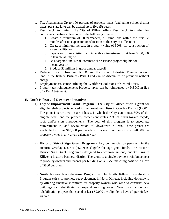- c. Tax Abatements: Up to 100 percent of property taxes (excluding school district taxes, per state law) can be abated up to five (5) years.
- d. Fast Track Permitting: The City of Killeen offers Fast Track Permitting for companies meeting at least one of the following criteria:
	- 1. Create a minimum of 50 permanent, full-time jobs within the first 12 months after its expansion or relocation to the City of Killeen; or
	- 2. Create a minimum increase in property value of 300% for construction of a new facility; or
	- 3. Expansion of an existing facility with an investment of at least \$250,000 in taxable assets; or
	- 4. Be a targeted industrial, commercial or service project eligible for incentives; or
	- 5. Produce \$2 million in gross annual payroll.
- e. Reduced price or free land: KEDC and the Killeen Industrial Foundation own land in the Killeen Business Park. Land can be discounted or provided without charge.
- f. Employment assistance utilizing the Workforce Solutions of Central Texas.
- g. Property tax reimbursement: Property taxes can be reimbursed by KEDC in lieu of a Tax Abatement.

#### **E. North Killeen and Downtown Incentives:**

- 1) **Façade Improvement Grant Program** The City of Killeen offers a grant for eligible rehab projects located in the downtown Historic Overlay District (HOD). The grant is structured on a 4:1 basis, in which the City contributes 80% of the eligible costs, and the property owner contributes 20% of funds toward façade, roof, and/or sign improvements. The goal of this program is to encourage reinvestment in, and revitalization of, downtown Killeen. These grants are available for up to \$10,000 per façade with a maximum subsidy of \$20,000 per property owner in any given calendar year.
- 2) **Historic District Sign Grant Program** Any commercial property within the Historic Overlay District (HOD) is eligible for sign grant funds. The Historic District Sign Grant Program is designed to encourage unique, quality signs in Killeen's historic business district. The grant is a single payment reimbursement to property owners and tenants per building on a 50/50 matching basis with a cap of \$800 per grant.
- 3) **North Killeen Revitalization Program** The North Killeen Revitalization Program exists to promote redevelopment in North Killeen, including downtown, by offering financial incentives for property owners who wish to construct new buildings or rehabilitate or expand existing ones. New construction and rehabilitation projects that spend at least \$2,000 are eligible to have all permit fees waived.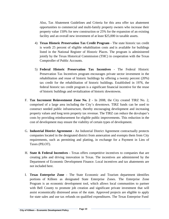Also, Tax Abatement Guidelines and Criteria for this area offer tax abatement opportunities to commercial and multi-family property owners who increase their property value 150% for new construction or 25% for the expansion of an existing facility and an overall new investment of at least \$25,000 in taxable assets.

- 4) **Texas Historic Preservation Tax Credit Program** The state historic tax credit is worth 25 percent of eligible rehabilitation costs and is available for buildings listed in the National Register of Historic Places. The program is administered jointly by the Texas Historical Commission (THC) in cooperation with the Texas Comptroller of Public Accounts.
- 5) **Federal Historic Preservation Tax Incentives** The Federal Historic Preservation Tax Incentives program encourages private sector investment in the rehabilitation and reuse of historic buildings by offering a twenty percent (20%) tax credit for the rehabilitation of historic buildings. Established in 1976, the federal historic tax credit program is a significant financial incentive for the reuse of historic buildings and revitalization of historic downtowns.
- F. **Tax Increment Reinvestment Zone No. 2** In 2008, the City created TIRZ No. 2, comprised of a large area including the City's downtown. TIRZ funds can be used to construct needed public infrastructure, thereby encouraging development and increasing property values and long term property tax revenue. The TIRZ can reduce the developer's costs by providing reimbursement for eligible public improvements. This reduction in the cost of development may ensure the viability of certain types of development.
- G. **Industrial District [Agreement](http://webcctx-cms-01.usgovcloudapp.net/sites/default/files/ED-IndustrialDistrictSummary.pdf) -** An Industrial District Agreement contractually protects companies located in the designated district from annexation and exempts them from City requirements, such as permitting and platting, in exchange for a Payment in Lieu of Taxes (PILOT).
- H. **State & Federal Incentives -** Texas offers competitive incentives to companies that are creating jobs and driving innovation in Texas. The incentives are administered by the Department of Economic Development Finance. Local incentives and tax abatements are not included here.
- I. **Texas Enterprise Zone** The State Economic and Tourism department identifies portions of Killeen as designated State Enterprise Zones. The Enterprise Zone Program is an economic development tool, which allows local communities to partner with Bell County to promote job creation and significant private investment that will assist economically distressed areas of the state. Approved projects are eligible to apply for state sales and use tax refunds on qualified expenditures. The Texas Enterprise Fund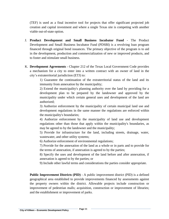(TEF) is used as a final incentive tool for projects that offer significant projected job creation and capital investment and where a single Texas site is competing with another viable out-of-state option.

- J. **Product [Development](https://gov.texas.gov/business/page/product-development-and-small-business-incubator-fund) and Small Business Incubator Fund** The Product Development and Small Business Incubator Fund (PDSBI) is a revolving loan program financed through original bond issuances. The primary objective of the program is to aid in the development, production and commercialization of new or improved products, and to foster and stimulate small business.
- K. **Development Agreements** Chapter 212 of the Texas Local Government Code provides a mechanism for a city to enter into a written contract with an owner of land in the city's extraterritorial jurisdiction (ETJ) to:

1) Guarantee the continuation of the extraterritorial status of the land and its immunity from annexation by the municipality;

2) Extend the municipality's planning authority over the land by providing for a development plan to be prepared by the landowner and approved by the municipality under which certain general uses and development of the land are authorized;

3) Authorize enforcement by the municipality of certain municipal land use and development regulations in the same manner the regulations are enforced within the municipality's boundaries;

4) Authorize enforcement by the municipality of land use and development regulations other than those that apply within the municipality's boundaries, as may be agreed to by the landowner and the municipality;

5) Provide for infrastructure for the land, including streets, drainage, water, wastewater, and other utility systems;

6) Authorize enforcement of environmental regulations;

7) Provide for the annexation of the land as a whole or in parts and to provide for the terms of annexation, if annexation is agreed to by the parties;

8) Specify the uses and development of the land before and after annexation, if annexation is agreed to by the parties; or

9) Include other lawful terms and considerations the parties consider appropriate.

**Public Improvement Districts (PID)** - A public improvement district (PID) is a defined geographical area established to provide improvements financed by assessments against the property owners within the district. Allowable projects include construction or improvement of pedestrian malls; acquisition, construction or improvement of libraries; and the establishment or improvement of parks.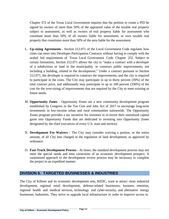Chapter 372 of the Texas Local Government requires that the petition to create a PID be signed by owners of more than 50% of the appraised value of the taxable real property subject to assessment, as well as owners of real property liable for assessment who constitute more than 50% of all owners liable for assessment, or own taxable real property that constitutes more than 50% of the area liable for the assessment.

- L. **Up-sizing Agreements** Section 212.071 of the Local Government Code regulates how cities can enter into Developer Participation Contracts without having to comply with the sealed bid requirements of Texas Local Government Code Chapter 252. Subject to certain limitations, Section 212.071 allows the city to "make a contract with a developer of a subdivision or land in the municipality to construct public improvements, not including a building, related to the development." Under a contract pursuant to Section 212.071, the developer is required to construct the improvements, and the city is required to participate in the costs. The City may participate in up to thirty percent (30%) of the total contract price, and additionally may participate in up to 100 percent (100%) of the cost for the over-sizing of improvements that are required by the City to meet existing or future needs.
- M. **Opportunity Zones** Opportunity Zones are a new community development program established by Congress in the Tax Cuts and Jobs Act of 2017 to encourage long-term investments in low-income urban and rural communities nationwide. The Opportunity Zones program provides a tax incentive for investors to re-invest their unrealized capital gains into Opportunity Funds that are dedicated to investing into Opportunity Zones designated by the chief executives of every U.S. state and territory.
- N. **Development Fee Waivers** The City may consider waiving a portion, or the entire amount, of all City fees charged in the regulation of land development, as approved by ordinance.
- O. **Fast-Track Development Process** At times, the standard development process may not meet the special needs and time constraints of an economic development prospect. A customized approach to the development review process may be necessary to complete the project in an expedited manner.

#### **DIVISION 6. TARGETED BUSINESSES & INDUSTRIES**

The City of Killeen and its economic development arm, KEDC, want to attract clean industrial development, regional retail development, defense-related businesses, business retention, regional health and medical services, technology and cyber-security, and alternative energy businesses /industries. They strive to upgrade local infrastructure in order to improve access to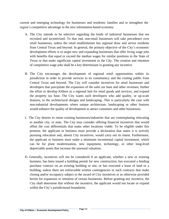current and emerging technology for businesses and residents/ families and to strengthen the region's competitive advantage in the new information-based economy.

- A. The City intends to be selective regarding the kinds of industrial businesses that are recruited and incentivized. To that end, non-retail businesses will take precedence over retail businesses, unless the retail establishment has regional draw and serves residents from Central Texas and beyond. In general, the primary objective of the City's economic development efforts is to target new and expanding businesses that offer living wage jobs with benefits that equal or exceed the median wages for similar positions in the State of Texas or that make significant capital investment in the City. The creation and retention of competitive wage jobs shall be a key determinant in granting any incentive.
- B. The City encourages the development of regional retail opportunities within its jurisdiction in order to provide services to its constituency and the visiting public from Central Texas and beyond. The City will consider incentives for retail businesses and developers that precipitate the expansion of the sales tax base and other revenues, further the effort to develop Killeen as a regional hub for retail goods and services, and expand the property tax base. The City wants such developers who add quality, or up-scale features, to the architectural designs and landscaping. This is particularly the case with non-industrial developments where unique architecture, landscaping or other features would enhance the quality of development to attract customers and other businesses.
- C. The City desires to retain existing businesses/industries that are contemplating relocating to another city, or state. The City may consider offering financial incentives that would offset the cost differentials that make other locations viable. To be eligible under this premise, the applicant or business must provide a declaration that states it is actively pursuing relocation and, absent City incentives, would carry out its intent. Furthermore, the applicant or business must make a minimum incremental capital investment, which can be for plant modernization, new equipment, technology, or other long-lived depreciable assets that increase the assessed valuation.
- D. Generally, incentives will not be considered if an applicant, whether a new or existing business, has been issued a building permit for new construction, has executed a binding purchase contract on an existing building or site, or has executed a lease of land or a building, unless there are enforceable written contingencies in such contracts that make closing and/or occupancy subject to the award of City incentives or as otherwise provided herein for expansion or retention of certain businesses. Before granting any incentive, the City shall determine that without the incentive, the applicant would not locate or expand within the City's jurisdictional boundaries.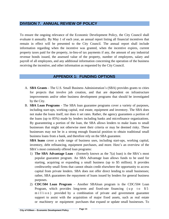#### **DIVISION 7. ANNUAL REVIEW OF POLICY**

To ensure the ongoing relevance of the Economic Development Policy, the City Council shall evaluate it annually. By May 1 of each year, an annual report listing all financial incentives that remain in effect will be presented to the City Council. The annual report shall include information regarding when the incentive was granted, when the incentive expires, current property taxes paid for the property, in-lieu-of tax payments if any, the amount of any industrial revenue bonds issued, the assessed value of the property, number of employees, salary and payroll of all employees, and any additional information concerning the operation of the business receiving the incentive, and other information as requested by the City Council.

#### **APPENDIX 1: FUNDING OPTIONS**

- A. **SBA Grants** The U.S. Small Business Administration's (SBA) provides grants to cities for projects that involve job creation, and that are dependent on infrastructure improvements and/or other business development programs that should be investigated by the City.
- B. **SBA Loan Programs** The SBA loan guarantee programs cover a variety of purposes, including start-ups, working capital, real estate, equipment and inventory. The SBA does not make the loans itself, nor does it set rates. Rather, the agency guarantees a portion of the loans (up to 85%) made by lenders including banks and microfinance organizations. By guaranteeing a portion of the loan, the SBA allows lenders to make loans to small businesses that might not otherwise meet their criteria or may be deemed risky. These businesses may not be in a strong enough financial position to obtain traditional small business loans from a bank, and therefore rely on the SBA guarantee.

**SBA loans** cover a wide range of business uses, including start-ups, working capital, inventory, debt refinancing, equipment purchases, and more. Here's an overview of the SBA's most commonly offered loan programs:

- 1) **The SBA Advantage Loan** (formerly known as the 7(a) loan) is the SBA's most popular guarantee program. An SBA Advantage loan allows funds to be used for starting, acquiring or expanding a small business (up to \$5 million). It provides creditworthy small firms that cannot obtain credit elsewhere the opportunity to access capital from private lenders. SBA does not offer direct lending to small businesses; rather, SBA guarantees the repayment of loans issued by lenders for general business purposes.
- 2) **CDC/504 Loan Program** Another SBAloan program is the CDC/504 Loan Program, which provides long-term and fixed-rate financing (up to  $$5$ m i l l i o n ) provided by a combination of private and government guarantee support to assist with the acquisition of major fixed assets, such as real estate or machinery or equipment purchases that expand or update small businesses. To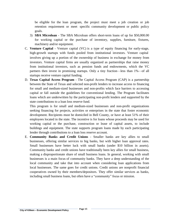be eligible for the loan program, the project must meet a job creation or job retention requirement or meet specific community development or public policy goals.

- 3) **SBA Microloan** The SBA Microloan offers short-term loans of up for \$50,000.00 for working capital or the purchase of inventory, supplies, furniture, fixtures, machinery and/or equipment.
- C. **Venture Capital** Venture capital (VC) is a type of equity financing for early-stage, high-growth startups with funds pooled from institutional investors. Venture capital involves giving up a portion of the ownership of business in exchange for money from investors. Venture capital firms are usually organized as partnerships that raise money from institutional investors, such as pension funds and endowments, which the VC partners then invest in promising startups. Only a tiny fraction—less than 1%—of all startups receive venture capital funding.
- D. **Texas Capital Access Program** The Capital Access Program (CAP) is a partnership between the State of Texas and selected non-profit lenders to increase access to financing for small and medium-sized businesses and non-profits which face barriers to accessing capital or fall outside the guidelines for conventional lending. The Program facilitates loans which are underwritten by the participating non-profit lenders and supported by the state contributions to a loan loss reserve fund.

This program is for small and medium-sized businesses and non-profit organizations seeking financing for projects, activities or enterprises in the state that foster economic development. Recipients must be domiciled in Bell County, or have at least 51% of their employees located in the state. The incentive is for loans whose proceeds may be used for working capital or the purchase, construction or lease of capital assets, to include buildings and equipment. The state supports program loans made by each participating lender through contributions to a loan loss reserve account.

E. **Community Banks and Credit Unions** - Smaller banks are key allies to small businesses, offering similar services to big banks, but with higher loan approval rates. Small businesses have better luck with small banks (under \$10 billion in assets). Community banks and credit unions have traditionally been key allies for small business, making a disproportionate share of small business loans. In general, working with small businesses is a main focus of community banks. They have a deep understanding of the local community and take that into account when considering loan applications from local businesses. The same goes for credit unions. Credit unions are nonprofit financial cooperatives owned by their members/depositors. They offer similar services as banks, including small business loans, but often have a "community" focus or mission.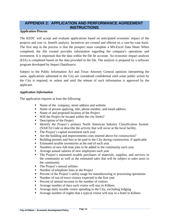#### **APPENDIX 2: APPLICATION AND PERFORMANCE AGREEMENT INSTRUCTIONS**

#### *Application Process*

The KEDC will accept and evaluate applications based on anticipated economic impact of the projects and cost vs. benefit analysis. Incentives are created and offered on a case-by-case basis. The first step in the process is that the prospect must complete a MS-Excel Data Sheet. When completed, the file created provides information regarding the company's operations and investment. It is important that the data within the file be accurate. An economic impact analysis (EIA) is completed based on the data provided in the file. The analysis is prepared by a software program developed by Impact DataSource.

Subject to the Public Information Act and Texas Attorney General opinions interpreting the same, applications submitted to the City are considered confidential until some public action by the City is required, or unless and until the release of such information is approved by the applicant.

#### *Application Information*

The application requires at least the following:

- Name of the company, street address and website
- Name of person applying, title, phone number, and email address
- Name of and proposed location of the Project
- Will the Project be located within the city limits?
- Description of the Project
- **Exercise 1 Identify the Project's primary North American Industry Classification System** (NAICS) Code or describe the activity that will occur at the local facility.
- The Project's capital investment each year
- Are the building and improvements costs entered above for construction?
- Building permits and fees to be paid to the City during construction, if applicable
- Estimated taxable inventories at the end of each year
- Numbers of new full-time jobs to be added in the community each year
- Average annual salaries of new employees each year
- The Project's estimated taxable purchases of materials, supplies, and services in the community as well as the estimated sales that will be subject to sales taxes in the community
- The Project's annual utilities
- Number of telephone lines at the Project
- **•** Percent of the Project's utility usage for manufacturing or processing operations
- Number of out-of-town visitors expected in the first year
- **•** Percent of annual increase in the number of visitors
- Average number of days each visitor will stay in Killeen.
- $\blacksquare$  Average daily taxable visitor spending in the City, excluding lodging
- Average number of nights that a typical visitor will stay in a hotel in Killeen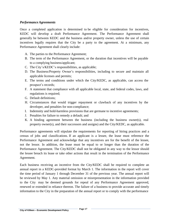#### *PerformanceAgreements*

Once a completed application is determined to be eligible for consideration for incentives, KEDC will develop a draft Performance Agreement. The Performance Agreement shall generally be between KEDC and the business and/or property owner, unless the use of certain incentives legally requires that the City be a party to the agreement. At a minimum, any Performance Agreement shall clearly include:

- A. The parties to the Performance Agreement;
- B. The term of the Performance Agreement, or the duration that incentives will be payable to a complying business/applicant;
- C. The City's/KEDC's responsibilities, as applicable;
- D. The Business/Property Owner's responsibilities, including to secure and maintain all applicable licenses and permits;
- E. The terms and conditions under which the City/KEDC, as applicable, can access the prospect's records;
- F. A statement that compliance with all applicable local, state, and federal codes, laws, and regulations is required;
- G. Default definitions;
- H. Circumstances that would trigger repayment or clawback of any incentives by the developer, and penalties for non-compliance;
- I. Indemnity and hold-harmless provisions that are germane to incentive agreements;
- J. Penalties for failure to remedy a default; and
- K. A binding agreement between the business (including the business owner(s), real property owner(s), and their successors and assigns) and the City/KEDC, as applicable.

Performance agreements will stipulate the requirements for reporting of hiring practices and a census of jobs and classifications. If an applicant is a lessee, the lease must reference the Performance Agreement and acknowledge that any incentives are for the benefit of the lessee, not the lessor. In addition, the lease must be equal to or longer than the duration of the Performance Agreement. The City/KEDC shall not be obligated in any way to the lessor should the lessee breach its lease or take other actions that result in the termination of the Performance Agreement.

Each business receiving an incentive from the City/KEDC shall be required to complete an annual report in a KEDC-provided format by March 1. The information in the report will cover the time period of January 1 through December 31 of the previous year. The annual report will be reviewed by May 1. Any material omission or misrepresentation in the information provided to the City may be deemed grounds for repeal of any Performance Agreement approved, renewed or extended in reliance thereon. The failure of a business to provide accurate and timely information to the City in the preparation of the annual report or to comply with the performance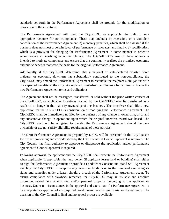standards set forth in the Performance Agreement shall be grounds for the modification or revocation of the incentives.

The Performance Agreement will grant the City/KEDC, as applicable, the right to levy appropriate recourse for non-compliance. These may include: 1) rescission, or a complete cancellation of the Performance Agreement, 2) monetary penalties, which shall be assessed if the business does not meet a certain level of performance or relocates, and finally, 3) recalibration, which is a provision for changing the Performance Agreement in some manner in order to accommodate an evolving economic climate. The City's/KEDC's use of these options is intended to motivate compliance and ensure that the community realizes the promised economic and public benefits that were the basis for the original Performance Agreement.

Additionally, if the City/KEDC determines that a national or state-declared disaster, force majeure, or economic downturn has substantially contributed to the non-compliance, the City/KEDC may amend the Performance Agreement to reconcile the recipient's obligations with the expected benefits to the City. An updated, limited-scope EIA may be required to frame the new Performance Agreement terms and obligations.

The Agreement shall not be reassigned, transferred, or sold without the prior written consent of the City/KEDC, as applicable. Incentives granted by the City/KEDC may be transferred as a result of a change in the majority ownership of the business. The transferee shall file a new application for the City's/KEDC's consideration of modifying the Performance Agreement. The City/KEDC shall be immediately notified by the business of any change in ownership, or of and any substantive change in operations upon which the original incentive award was based. The City/KEDC shall not be obligated to transfer the Performance Agreement should the new ownership or use not satisfy eligibility requirements of these policies.

The Draft Performance Agreement as prepared by KEDC will be presented to the City Liaison for further processing and consideration by the City Council if Council approval is required. The City Council has final authority to approve or disapprove the application and/or performance agreement if Council approval is required.

Following approval, the applicant and the City/KEDC shall execute the Performance Agreement when applicable. If applicable, the land owner (if applicant leases land or building) shall either co-sign the Performance Agreement or provide a Landowner Consent and Stand Still Agreement enabling the City/KEDC to recapture any incentive funds prior to the Landlord exercising its rights and remedies under a lease, should a breach of the Performance Agreement occur. To ensure compliance with clawback remedies, the City/KEDC may, in its sole and absolute discretion, record liens against real and/or personal property belonging to the applicant or business. Under no circumstances is the approval and execution of a Performance Agreement to be interpreted as approval of any required development permits, ministerial or discretionary. The decision of the City Council is final and no appeal process is available.